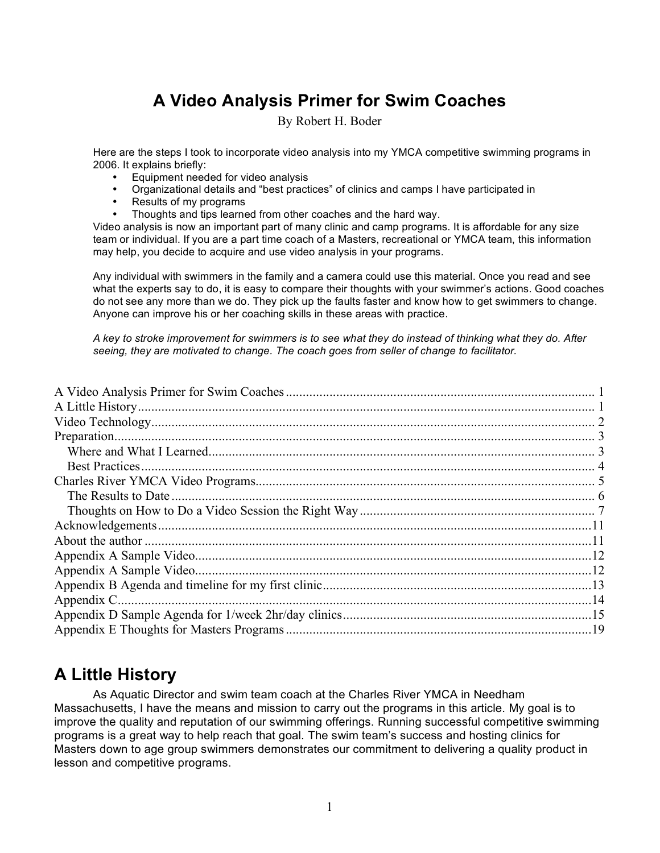# **A Video Analysis Primer for Swim Coaches**

By Robert H. Boder

Here are the steps I took to incorporate video analysis into my YMCA competitive swimming programs in 2006. It explains briefly:

- Equipment needed for video analysis
- Organizational details and "best practices" of clinics and camps I have participated in
- Results of my programs
- Thoughts and tips learned from other coaches and the hard way.

Video analysis is now an important part of many clinic and camp programs. It is affordable for any size team or individual. If you are a part time coach of a Masters, recreational or YMCA team, this information may help, you decide to acquire and use video analysis in your programs.

Any individual with swimmers in the family and a camera could use this material. Once you read and see what the experts say to do, it is easy to compare their thoughts with your swimmer's actions. Good coaches do not see any more than we do. They pick up the faults faster and know how to get swimmers to change. Anyone can improve his or her coaching skills in these areas with practice.

A key to stroke improvement for swimmers is to see what they do instead of thinking what they do. After *seeing, they are motivated to change. The coach goes from seller of change to facilitator.*

### **A Little History**

As Aquatic Director and swim team coach at the Charles River YMCA in Needham Massachusetts, I have the means and mission to carry out the programs in this article. My goal is to improve the quality and reputation of our swimming offerings. Running successful competitive swimming programs is a great way to help reach that goal. The swim team's success and hosting clinics for Masters down to age group swimmers demonstrates our commitment to delivering a quality product in lesson and competitive programs.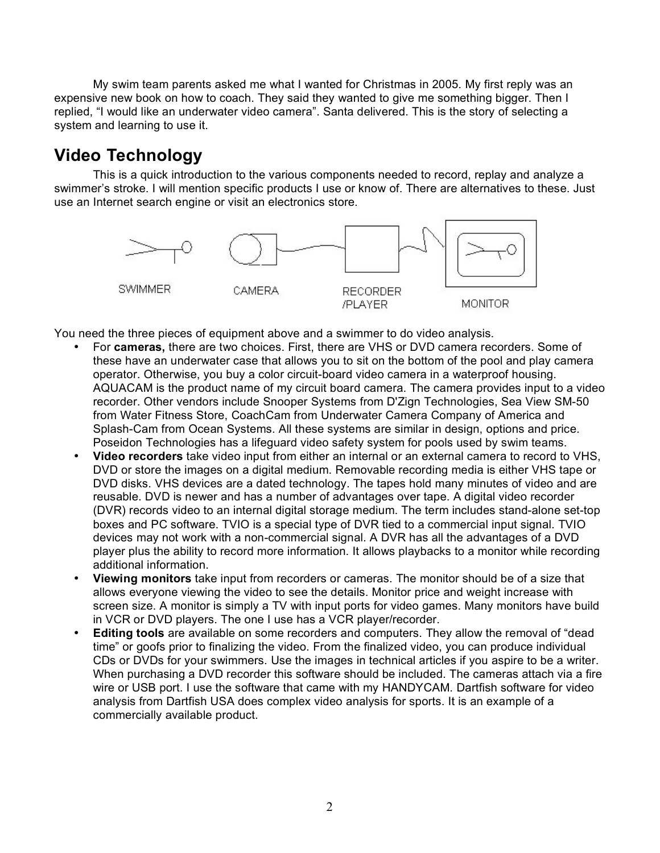My swim team parents asked me what I wanted for Christmas in 2005. My first reply was an expensive new book on how to coach. They said they wanted to give me something bigger. Then I replied, "I would like an underwater video camera". Santa delivered. This is the story of selecting a system and learning to use it.

# **Video Technology**

This is a quick introduction to the various components needed to record, replay and analyze a swimmer's stroke. I will mention specific products I use or know of. There are alternatives to these. Just use an Internet search engine or visit an electronics store.



You need the three pieces of equipment above and a swimmer to do video analysis.

- For **cameras,** there are two choices. First, there are VHS or DVD camera recorders. Some of these have an underwater case that allows you to sit on the bottom of the pool and play camera operator. Otherwise, you buy a color circuit-board video camera in a waterproof housing. AQUACAM is the product name of my circuit board camera. The camera provides input to a video recorder. Other vendors include Snooper Systems from D'Zign Technologies, Sea View SM-50 from Water Fitness Store, CoachCam from Underwater Camera Company of America and Splash-Cam from Ocean Systems. All these systems are similar in design, options and price. Poseidon Technologies has a lifeguard video safety system for pools used by swim teams.
- **Video recorders** take video input from either an internal or an external camera to record to VHS, DVD or store the images on a digital medium. Removable recording media is either VHS tape or DVD disks. VHS devices are a dated technology. The tapes hold many minutes of video and are reusable. DVD is newer and has a number of advantages over tape. A digital video recorder (DVR) records video to an internal digital storage medium. The term includes stand-alone set-top boxes and PC software. TVIO is a special type of DVR tied to a commercial input signal. TVIO devices may not work with a non-commercial signal. A DVR has all the advantages of a DVD player plus the ability to record more information. It allows playbacks to a monitor while recording additional information.
- **Viewing monitors** take input from recorders or cameras. The monitor should be of a size that allows everyone viewing the video to see the details. Monitor price and weight increase with screen size. A monitor is simply a TV with input ports for video games. Many monitors have build in VCR or DVD players. The one I use has a VCR player/recorder.
- **Editing tools** are available on some recorders and computers. They allow the removal of "dead time" or goofs prior to finalizing the video. From the finalized video, you can produce individual CDs or DVDs for your swimmers. Use the images in technical articles if you aspire to be a writer. When purchasing a DVD recorder this software should be included. The cameras attach via a fire wire or USB port. I use the software that came with my HANDYCAM. Dartfish software for video analysis from Dartfish USA does complex video analysis for sports. It is an example of a commercially available product.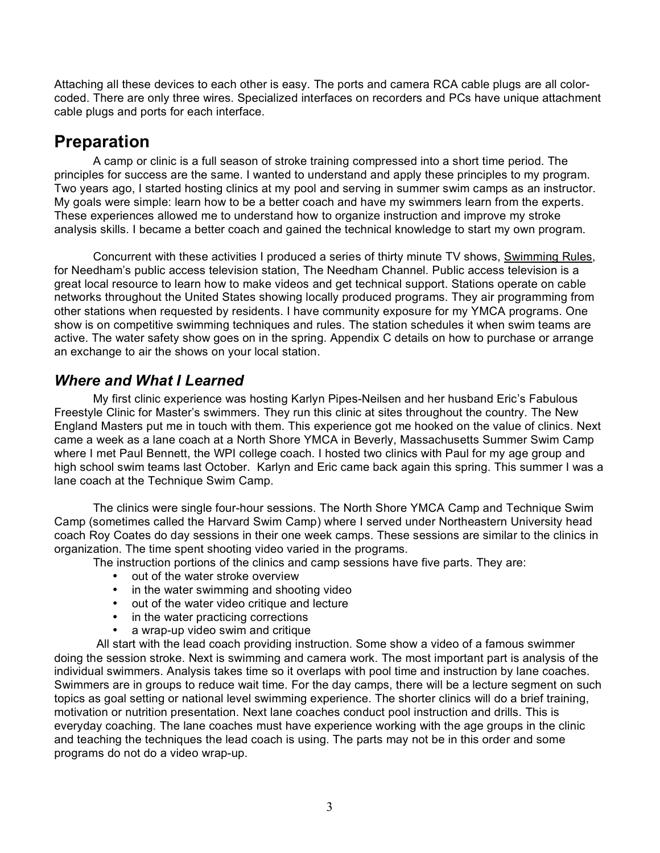Attaching all these devices to each other is easy. The ports and camera RCA cable plugs are all colorcoded. There are only three wires. Specialized interfaces on recorders and PCs have unique attachment cable plugs and ports for each interface.

## **Preparation**

A camp or clinic is a full season of stroke training compressed into a short time period. The principles for success are the same. I wanted to understand and apply these principles to my program. Two years ago, I started hosting clinics at my pool and serving in summer swim camps as an instructor. My goals were simple: learn how to be a better coach and have my swimmers learn from the experts. These experiences allowed me to understand how to organize instruction and improve my stroke analysis skills. I became a better coach and gained the technical knowledge to start my own program.

Concurrent with these activities I produced a series of thirty minute TV shows, Swimming Rules, for Needham's public access television station, The Needham Channel. Public access television is a great local resource to learn how to make videos and get technical support. Stations operate on cable networks throughout the United States showing locally produced programs. They air programming from other stations when requested by residents. I have community exposure for my YMCA programs. One show is on competitive swimming techniques and rules. The station schedules it when swim teams are active. The water safety show goes on in the spring. Appendix C details on how to purchase or arrange an exchange to air the shows on your local station.

### *Where and What I Learned*

My first clinic experience was hosting Karlyn Pipes-Neilsen and her husband Eric's Fabulous Freestyle Clinic for Master's swimmers. They run this clinic at sites throughout the country. The New England Masters put me in touch with them. This experience got me hooked on the value of clinics. Next came a week as a lane coach at a North Shore YMCA in Beverly, Massachusetts Summer Swim Camp where I met Paul Bennett, the WPI college coach. I hosted two clinics with Paul for my age group and high school swim teams last October. Karlyn and Eric came back again this spring. This summer I was a lane coach at the Technique Swim Camp.

The clinics were single four-hour sessions. The North Shore YMCA Camp and Technique Swim Camp (sometimes called the Harvard Swim Camp) where I served under Northeastern University head coach Roy Coates do day sessions in their one week camps. These sessions are similar to the clinics in organization. The time spent shooting video varied in the programs.

The instruction portions of the clinics and camp sessions have five parts. They are:

- out of the water stroke overview
- in the water swimming and shooting video
- out of the water video critique and lecture
- in the water practicing corrections
- a wrap-up video swim and critique

All start with the lead coach providing instruction. Some show a video of a famous swimmer doing the session stroke. Next is swimming and camera work. The most important part is analysis of the individual swimmers. Analysis takes time so it overlaps with pool time and instruction by lane coaches. Swimmers are in groups to reduce wait time. For the day camps, there will be a lecture segment on such topics as goal setting or national level swimming experience. The shorter clinics will do a brief training, motivation or nutrition presentation. Next lane coaches conduct pool instruction and drills. This is everyday coaching. The lane coaches must have experience working with the age groups in the clinic and teaching the techniques the lead coach is using. The parts may not be in this order and some programs do not do a video wrap-up.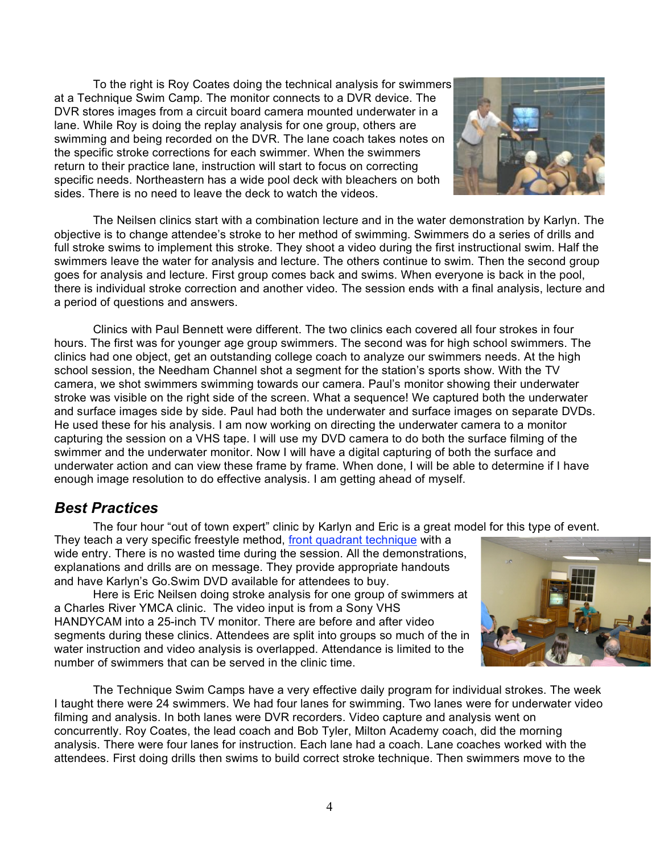To the right is Roy Coates doing the technical analysis for swimmers at a Technique Swim Camp. The monitor connects to a DVR device. The DVR stores images from a circuit board camera mounted underwater in a lane. While Roy is doing the replay analysis for one group, others are swimming and being recorded on the DVR. The lane coach takes notes on the specific stroke corrections for each swimmer. When the swimmers return to their practice lane, instruction will start to focus on correcting specific needs. Northeastern has a wide pool deck with bleachers on both sides. There is no need to leave the deck to watch the videos.



The Neilsen clinics start with a combination lecture and in the water demonstration by Karlyn. The objective is to change attendee's stroke to her method of swimming. Swimmers do a series of drills and full stroke swims to implement this stroke. They shoot a video during the first instructional swim. Half the swimmers leave the water for analysis and lecture. The others continue to swim. Then the second group goes for analysis and lecture. First group comes back and swims. When everyone is back in the pool, there is individual stroke correction and another video. The session ends with a final analysis, lecture and a period of questions and answers.

Clinics with Paul Bennett were different. The two clinics each covered all four strokes in four hours. The first was for younger age group swimmers. The second was for high school swimmers. The clinics had one object, get an outstanding college coach to analyze our swimmers needs. At the high school session, the Needham Channel shot a segment for the station's sports show. With the TV camera, we shot swimmers swimming towards our camera. Paul's monitor showing their underwater stroke was visible on the right side of the screen. What a sequence! We captured both the underwater and surface images side by side. Paul had both the underwater and surface images on separate DVDs. He used these for his analysis. I am now working on directing the underwater camera to a monitor capturing the session on a VHS tape. I will use my DVD camera to do both the surface filming of the swimmer and the underwater monitor. Now I will have a digital capturing of both the surface and underwater action and can view these frame by frame. When done, I will be able to determine if I have enough image resolution to do effective analysis. I am getting ahead of myself.

### *Best Practices*

The four hour "out of town expert" clinic by Karlyn and Eric is a great model for this type of event.

They teach a very specific freestyle method, front quadrant technique with a wide entry. There is no wasted time during the session. All the demonstrations, explanations and drills are on message. They provide appropriate handouts and have Karlyn's Go.Swim DVD available for attendees to buy.

Here is Eric Neilsen doing stroke analysis for one group of swimmers at a Charles River YMCA clinic. The video input is from a Sony VHS HANDYCAM into a 25-inch TV monitor. There are before and after video segments during these clinics. Attendees are split into groups so much of the in water instruction and video analysis is overlapped. Attendance is limited to the number of swimmers that can be served in the clinic time.



The Technique Swim Camps have a very effective daily program for individual strokes. The week I taught there were 24 swimmers. We had four lanes for swimming. Two lanes were for underwater video filming and analysis. In both lanes were DVR recorders. Video capture and analysis went on concurrently. Roy Coates, the lead coach and Bob Tyler, Milton Academy coach, did the morning analysis. There were four lanes for instruction. Each lane had a coach. Lane coaches worked with the attendees. First doing drills then swims to build correct stroke technique. Then swimmers move to the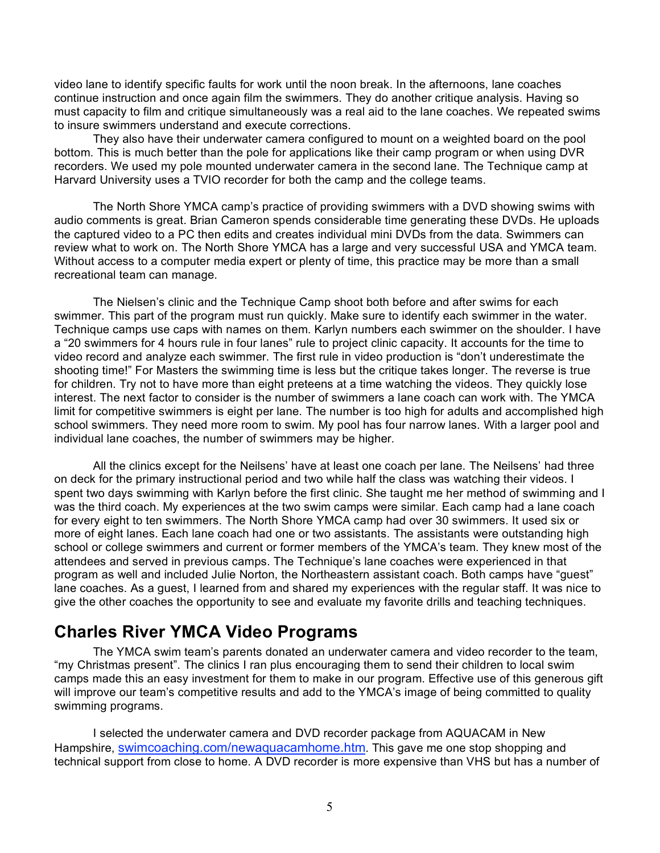video lane to identify specific faults for work until the noon break. In the afternoons, lane coaches continue instruction and once again film the swimmers. They do another critique analysis. Having so must capacity to film and critique simultaneously was a real aid to the lane coaches. We repeated swims to insure swimmers understand and execute corrections.

They also have their underwater camera configured to mount on a weighted board on the pool bottom. This is much better than the pole for applications like their camp program or when using DVR recorders. We used my pole mounted underwater camera in the second lane. The Technique camp at Harvard University uses a TVIO recorder for both the camp and the college teams.

The North Shore YMCA camp's practice of providing swimmers with a DVD showing swims with audio comments is great. Brian Cameron spends considerable time generating these DVDs. He uploads the captured video to a PC then edits and creates individual mini DVDs from the data. Swimmers can review what to work on. The North Shore YMCA has a large and very successful USA and YMCA team. Without access to a computer media expert or plenty of time, this practice may be more than a small recreational team can manage.

The Nielsen's clinic and the Technique Camp shoot both before and after swims for each swimmer. This part of the program must run quickly. Make sure to identify each swimmer in the water. Technique camps use caps with names on them. Karlyn numbers each swimmer on the shoulder. I have a "20 swimmers for 4 hours rule in four lanes" rule to project clinic capacity. It accounts for the time to video record and analyze each swimmer. The first rule in video production is "don't underestimate the shooting time!" For Masters the swimming time is less but the critique takes longer. The reverse is true for children. Try not to have more than eight preteens at a time watching the videos. They quickly lose interest. The next factor to consider is the number of swimmers a lane coach can work with. The YMCA limit for competitive swimmers is eight per lane. The number is too high for adults and accomplished high school swimmers. They need more room to swim. My pool has four narrow lanes. With a larger pool and individual lane coaches, the number of swimmers may be higher.

All the clinics except for the Neilsens' have at least one coach per lane. The Neilsens' had three on deck for the primary instructional period and two while half the class was watching their videos. I spent two days swimming with Karlyn before the first clinic. She taught me her method of swimming and I was the third coach. My experiences at the two swim camps were similar. Each camp had a lane coach for every eight to ten swimmers. The North Shore YMCA camp had over 30 swimmers. It used six or more of eight lanes. Each lane coach had one or two assistants. The assistants were outstanding high school or college swimmers and current or former members of the YMCA's team. They knew most of the attendees and served in previous camps. The Technique's lane coaches were experienced in that program as well and included Julie Norton, the Northeastern assistant coach. Both camps have "guest" lane coaches. As a guest, I learned from and shared my experiences with the regular staff. It was nice to give the other coaches the opportunity to see and evaluate my favorite drills and teaching techniques.

## **Charles River YMCA Video Programs**

The YMCA swim team's parents donated an underwater camera and video recorder to the team, "my Christmas present". The clinics I ran plus encouraging them to send their children to local swim camps made this an easy investment for them to make in our program. Effective use of this generous gift will improve our team's competitive results and add to the YMCA's image of being committed to quality swimming programs.

I selected the underwater camera and DVD recorder package from AQUACAM in New Hampshire, swimcoaching.com/newaquacamhome.htm. This gave me one stop shopping and technical support from close to home. A DVD recorder is more expensive than VHS but has a number of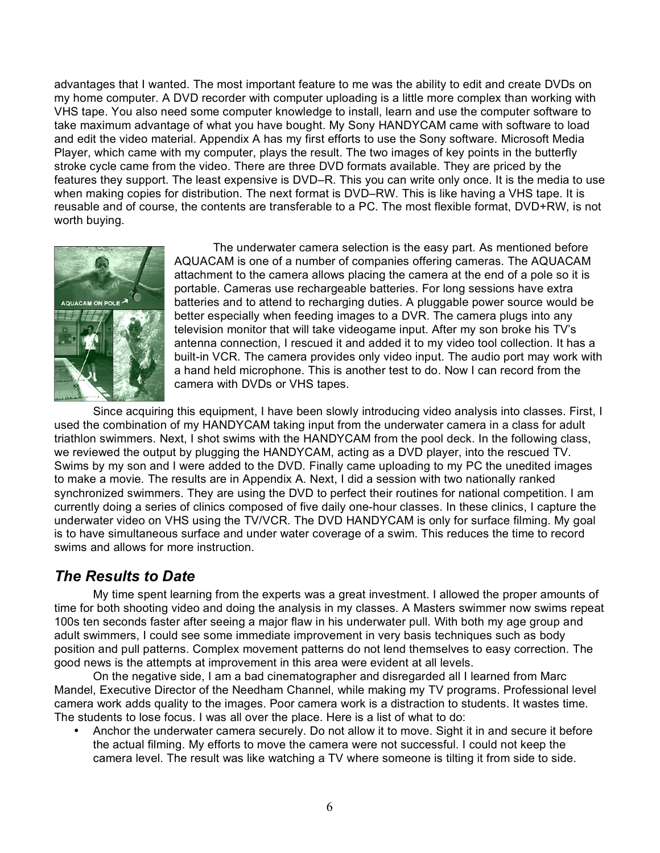advantages that I wanted. The most important feature to me was the ability to edit and create DVDs on my home computer. A DVD recorder with computer uploading is a little more complex than working with VHS tape. You also need some computer knowledge to install, learn and use the computer software to take maximum advantage of what you have bought. My Sony HANDYCAM came with software to load and edit the video material. Appendix A has my first efforts to use the Sony software. Microsoft Media Player, which came with my computer, plays the result. The two images of key points in the butterfly stroke cycle came from the video. There are three DVD formats available. They are priced by the features they support. The least expensive is DVD–R. This you can write only once. It is the media to use when making copies for distribution. The next format is DVD–RW. This is like having a VHS tape. It is reusable and of course, the contents are transferable to a PC. The most flexible format, DVD+RW, is not worth buying.



The underwater camera selection is the easy part. As mentioned before AQUACAM is one of a number of companies offering cameras. The AQUACAM attachment to the camera allows placing the camera at the end of a pole so it is portable. Cameras use rechargeable batteries. For long sessions have extra batteries and to attend to recharging duties. A pluggable power source would be better especially when feeding images to a DVR. The camera plugs into any television monitor that will take videogame input. After my son broke his TV's antenna connection, I rescued it and added it to my video tool collection. It has a built-in VCR. The camera provides only video input. The audio port may work with a hand held microphone. This is another test to do. Now I can record from the camera with DVDs or VHS tapes.

Since acquiring this equipment, I have been slowly introducing video analysis into classes. First, I used the combination of my HANDYCAM taking input from the underwater camera in a class for adult triathlon swimmers. Next, I shot swims with the HANDYCAM from the pool deck. In the following class, we reviewed the output by plugging the HANDYCAM, acting as a DVD player, into the rescued TV. Swims by my son and I were added to the DVD. Finally came uploading to my PC the unedited images to make a movie. The results are in Appendix A. Next, I did a session with two nationally ranked synchronized swimmers. They are using the DVD to perfect their routines for national competition. I am currently doing a series of clinics composed of five daily one-hour classes. In these clinics, I capture the underwater video on VHS using the TV/VCR. The DVD HANDYCAM is only for surface filming. My goal is to have simultaneous surface and under water coverage of a swim. This reduces the time to record swims and allows for more instruction.

### *The Results to Date*

My time spent learning from the experts was a great investment. I allowed the proper amounts of time for both shooting video and doing the analysis in my classes. A Masters swimmer now swims repeat 100s ten seconds faster after seeing a major flaw in his underwater pull. With both my age group and adult swimmers, I could see some immediate improvement in very basis techniques such as body position and pull patterns. Complex movement patterns do not lend themselves to easy correction. The good news is the attempts at improvement in this area were evident at all levels.

On the negative side, I am a bad cinematographer and disregarded all I learned from Marc Mandel, Executive Director of the Needham Channel, while making my TV programs. Professional level camera work adds quality to the images. Poor camera work is a distraction to students. It wastes time. The students to lose focus. I was all over the place. Here is a list of what to do:

• Anchor the underwater camera securely. Do not allow it to move. Sight it in and secure it before the actual filming. My efforts to move the camera were not successful. I could not keep the camera level. The result was like watching a TV where someone is tilting it from side to side.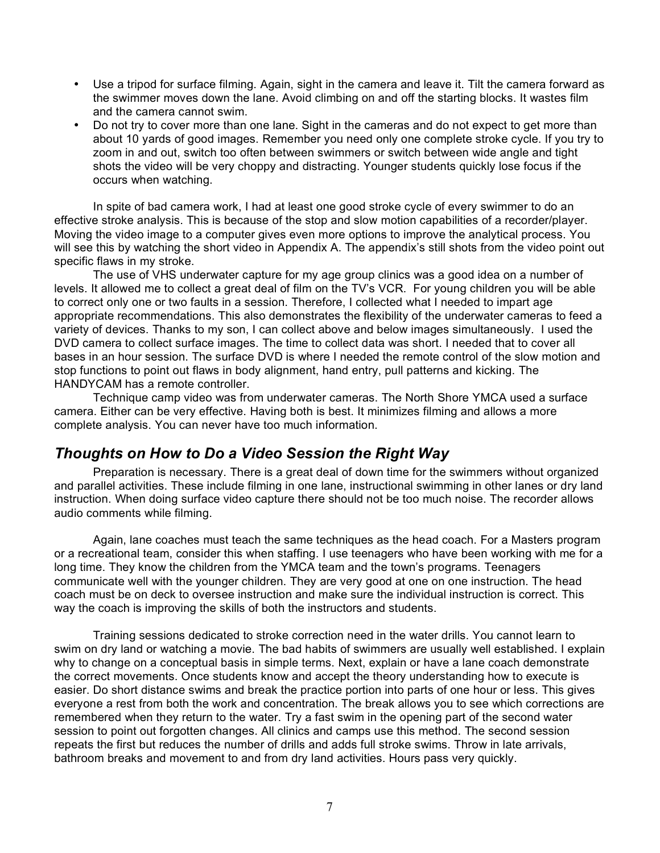- Use a tripod for surface filming. Again, sight in the camera and leave it. Tilt the camera forward as the swimmer moves down the lane. Avoid climbing on and off the starting blocks. It wastes film and the camera cannot swim.
- Do not try to cover more than one lane. Sight in the cameras and do not expect to get more than about 10 yards of good images. Remember you need only one complete stroke cycle. If you try to zoom in and out, switch too often between swimmers or switch between wide angle and tight shots the video will be very choppy and distracting. Younger students quickly lose focus if the occurs when watching.

In spite of bad camera work, I had at least one good stroke cycle of every swimmer to do an effective stroke analysis. This is because of the stop and slow motion capabilities of a recorder/player. Moving the video image to a computer gives even more options to improve the analytical process. You will see this by watching the short video in Appendix A. The appendix's still shots from the video point out specific flaws in my stroke.

The use of VHS underwater capture for my age group clinics was a good idea on a number of levels. It allowed me to collect a great deal of film on the TV's VCR. For young children you will be able to correct only one or two faults in a session. Therefore, I collected what I needed to impart age appropriate recommendations. This also demonstrates the flexibility of the underwater cameras to feed a variety of devices. Thanks to my son, I can collect above and below images simultaneously. I used the DVD camera to collect surface images. The time to collect data was short. I needed that to cover all bases in an hour session. The surface DVD is where I needed the remote control of the slow motion and stop functions to point out flaws in body alignment, hand entry, pull patterns and kicking. The HANDYCAM has a remote controller.

Technique camp video was from underwater cameras. The North Shore YMCA used a surface camera. Either can be very effective. Having both is best. It minimizes filming and allows a more complete analysis. You can never have too much information.

### *Thoughts on How to Do a Video Session the Right Way*

Preparation is necessary. There is a great deal of down time for the swimmers without organized and parallel activities. These include filming in one lane, instructional swimming in other lanes or dry land instruction. When doing surface video capture there should not be too much noise. The recorder allows audio comments while filming.

Again, lane coaches must teach the same techniques as the head coach. For a Masters program or a recreational team, consider this when staffing. I use teenagers who have been working with me for a long time. They know the children from the YMCA team and the town's programs. Teenagers communicate well with the younger children. They are very good at one on one instruction. The head coach must be on deck to oversee instruction and make sure the individual instruction is correct. This way the coach is improving the skills of both the instructors and students.

Training sessions dedicated to stroke correction need in the water drills. You cannot learn to swim on dry land or watching a movie. The bad habits of swimmers are usually well established. I explain why to change on a conceptual basis in simple terms. Next, explain or have a lane coach demonstrate the correct movements. Once students know and accept the theory understanding how to execute is easier. Do short distance swims and break the practice portion into parts of one hour or less. This gives everyone a rest from both the work and concentration. The break allows you to see which corrections are remembered when they return to the water. Try a fast swim in the opening part of the second water session to point out forgotten changes. All clinics and camps use this method. The second session repeats the first but reduces the number of drills and adds full stroke swims. Throw in late arrivals, bathroom breaks and movement to and from dry land activities. Hours pass very quickly.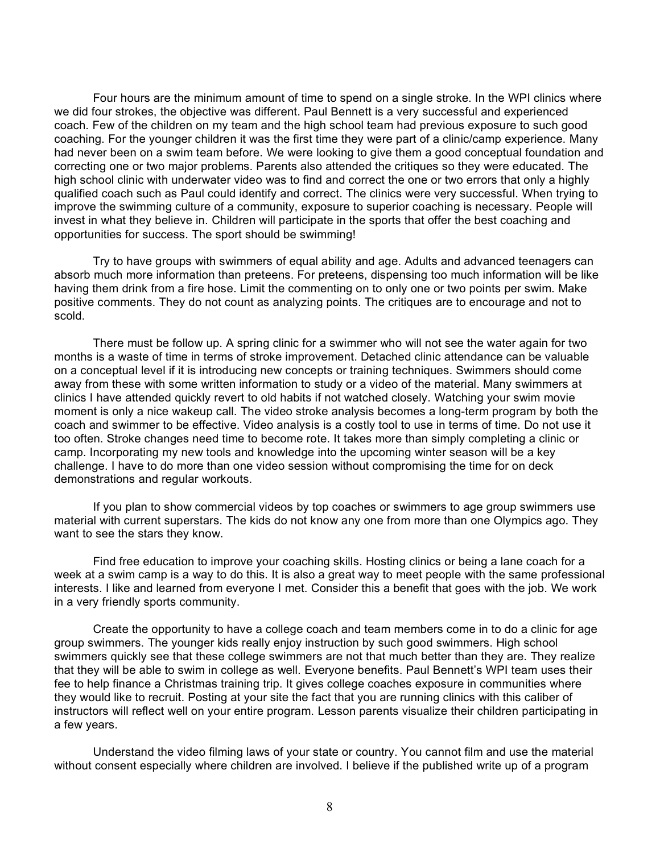Four hours are the minimum amount of time to spend on a single stroke. In the WPI clinics where we did four strokes, the objective was different. Paul Bennett is a very successful and experienced coach. Few of the children on my team and the high school team had previous exposure to such good coaching. For the younger children it was the first time they were part of a clinic/camp experience. Many had never been on a swim team before. We were looking to give them a good conceptual foundation and correcting one or two major problems. Parents also attended the critiques so they were educated. The high school clinic with underwater video was to find and correct the one or two errors that only a highly qualified coach such as Paul could identify and correct. The clinics were very successful. When trying to improve the swimming culture of a community, exposure to superior coaching is necessary. People will invest in what they believe in. Children will participate in the sports that offer the best coaching and opportunities for success. The sport should be swimming!

Try to have groups with swimmers of equal ability and age. Adults and advanced teenagers can absorb much more information than preteens. For preteens, dispensing too much information will be like having them drink from a fire hose. Limit the commenting on to only one or two points per swim. Make positive comments. They do not count as analyzing points. The critiques are to encourage and not to scold.

There must be follow up. A spring clinic for a swimmer who will not see the water again for two months is a waste of time in terms of stroke improvement. Detached clinic attendance can be valuable on a conceptual level if it is introducing new concepts or training techniques. Swimmers should come away from these with some written information to study or a video of the material. Many swimmers at clinics I have attended quickly revert to old habits if not watched closely. Watching your swim movie moment is only a nice wakeup call. The video stroke analysis becomes a long-term program by both the coach and swimmer to be effective. Video analysis is a costly tool to use in terms of time. Do not use it too often. Stroke changes need time to become rote. It takes more than simply completing a clinic or camp. Incorporating my new tools and knowledge into the upcoming winter season will be a key challenge. I have to do more than one video session without compromising the time for on deck demonstrations and regular workouts.

If you plan to show commercial videos by top coaches or swimmers to age group swimmers use material with current superstars. The kids do not know any one from more than one Olympics ago. They want to see the stars they know.

Find free education to improve your coaching skills. Hosting clinics or being a lane coach for a week at a swim camp is a way to do this. It is also a great way to meet people with the same professional interests. I like and learned from everyone I met. Consider this a benefit that goes with the job. We work in a very friendly sports community.

Create the opportunity to have a college coach and team members come in to do a clinic for age group swimmers. The younger kids really enjoy instruction by such good swimmers. High school swimmers quickly see that these college swimmers are not that much better than they are. They realize that they will be able to swim in college as well. Everyone benefits. Paul Bennett's WPI team uses their fee to help finance a Christmas training trip. It gives college coaches exposure in communities where they would like to recruit. Posting at your site the fact that you are running clinics with this caliber of instructors will reflect well on your entire program. Lesson parents visualize their children participating in a few years.

Understand the video filming laws of your state or country. You cannot film and use the material without consent especially where children are involved. I believe if the published write up of a program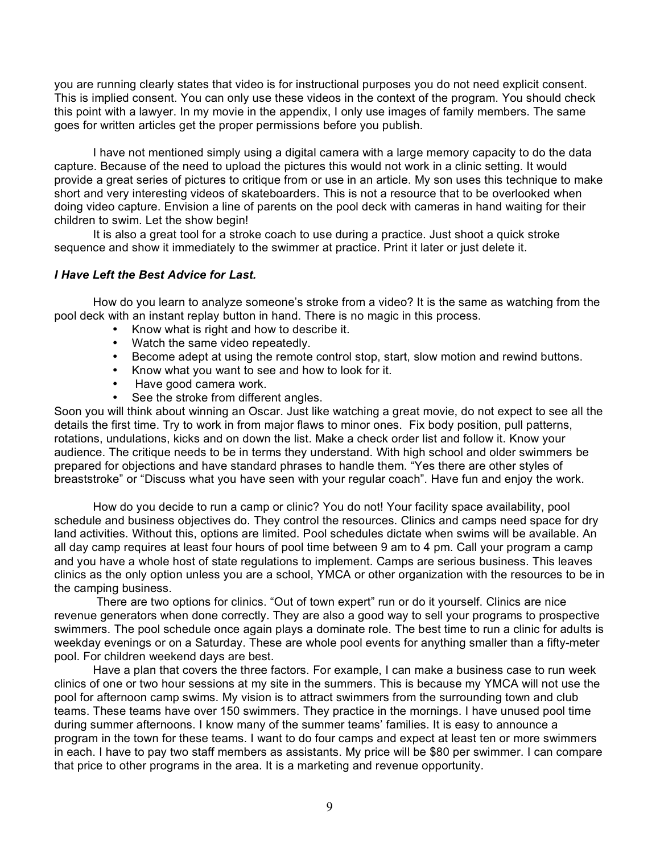you are running clearly states that video is for instructional purposes you do not need explicit consent. This is implied consent. You can only use these videos in the context of the program. You should check this point with a lawyer. In my movie in the appendix, I only use images of family members. The same goes for written articles get the proper permissions before you publish.

I have not mentioned simply using a digital camera with a large memory capacity to do the data capture. Because of the need to upload the pictures this would not work in a clinic setting. It would provide a great series of pictures to critique from or use in an article. My son uses this technique to make short and very interesting videos of skateboarders. This is not a resource that to be overlooked when doing video capture. Envision a line of parents on the pool deck with cameras in hand waiting for their children to swim. Let the show begin!

It is also a great tool for a stroke coach to use during a practice. Just shoot a quick stroke sequence and show it immediately to the swimmer at practice. Print it later or just delete it.

#### *I Have Left the Best Advice for Last.*

How do you learn to analyze someone's stroke from a video? It is the same as watching from the pool deck with an instant replay button in hand. There is no magic in this process.

- Know what is right and how to describe it.
- Watch the same video repeatedly.
- Become adept at using the remote control stop, start, slow motion and rewind buttons.
- Know what you want to see and how to look for it.
- Have good camera work.
- See the stroke from different angles.

Soon you will think about winning an Oscar. Just like watching a great movie, do not expect to see all the details the first time. Try to work in from major flaws to minor ones. Fix body position, pull patterns, rotations, undulations, kicks and on down the list. Make a check order list and follow it. Know your audience. The critique needs to be in terms they understand. With high school and older swimmers be prepared for objections and have standard phrases to handle them. "Yes there are other styles of breaststroke" or "Discuss what you have seen with your regular coach". Have fun and enjoy the work.

How do you decide to run a camp or clinic? You do not! Your facility space availability, pool schedule and business objectives do. They control the resources. Clinics and camps need space for dry land activities. Without this, options are limited. Pool schedules dictate when swims will be available. An all day camp requires at least four hours of pool time between 9 am to 4 pm. Call your program a camp and you have a whole host of state regulations to implement. Camps are serious business. This leaves clinics as the only option unless you are a school, YMCA or other organization with the resources to be in the camping business.

There are two options for clinics. "Out of town expert" run or do it yourself. Clinics are nice revenue generators when done correctly. They are also a good way to sell your programs to prospective swimmers. The pool schedule once again plays a dominate role. The best time to run a clinic for adults is weekday evenings or on a Saturday. These are whole pool events for anything smaller than a fifty-meter pool. For children weekend days are best.

Have a plan that covers the three factors. For example, I can make a business case to run week clinics of one or two hour sessions at my site in the summers. This is because my YMCA will not use the pool for afternoon camp swims. My vision is to attract swimmers from the surrounding town and club teams. These teams have over 150 swimmers. They practice in the mornings. I have unused pool time during summer afternoons. I know many of the summer teams' families. It is easy to announce a program in the town for these teams. I want to do four camps and expect at least ten or more swimmers in each. I have to pay two staff members as assistants. My price will be \$80 per swimmer. I can compare that price to other programs in the area. It is a marketing and revenue opportunity.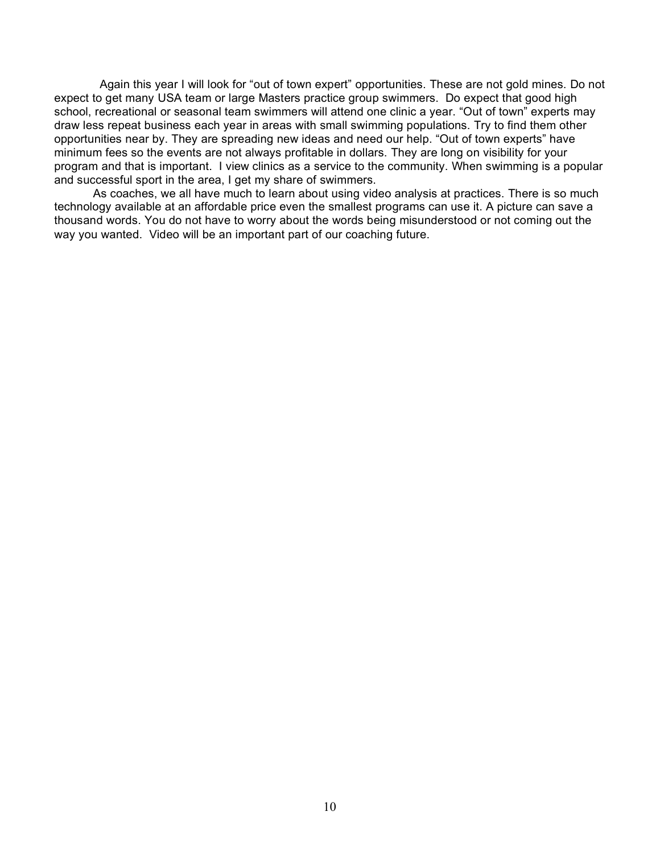Again this year I will look for "out of town expert" opportunities. These are not gold mines. Do not expect to get many USA team or large Masters practice group swimmers. Do expect that good high school, recreational or seasonal team swimmers will attend one clinic a year. "Out of town" experts may draw less repeat business each year in areas with small swimming populations. Try to find them other opportunities near by. They are spreading new ideas and need our help. "Out of town experts" have minimum fees so the events are not always profitable in dollars. They are long on visibility for your program and that is important. I view clinics as a service to the community. When swimming is a popular and successful sport in the area, I get my share of swimmers.

As coaches, we all have much to learn about using video analysis at practices. There is so much technology available at an affordable price even the smallest programs can use it. A picture can save a thousand words. You do not have to worry about the words being misunderstood or not coming out the way you wanted. Video will be an important part of our coaching future.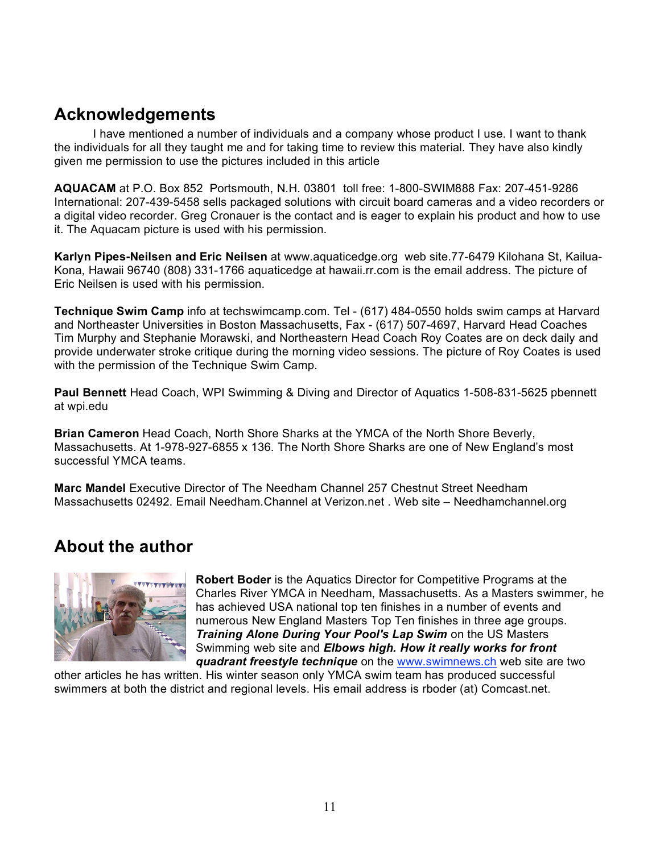## **Acknowledgements**

I have mentioned a number of individuals and a company whose product I use. I want to thank the individuals for all they taught me and for taking time to review this material. They have also kindly given me permission to use the pictures included in this article

**AQUACAM** at P.O. Box 852 Portsmouth, N.H. 03801 toll free: 1-800-SWIM888 Fax: 207-451-9286 International: 207-439-5458 sells packaged solutions with circuit board cameras and a video recorders or a digital video recorder. Greg Cronauer is the contact and is eager to explain his product and how to use it. The Aquacam picture is used with his permission.

**Karlyn Pipes-Neilsen and Eric Neilsen** at www.aquaticedge.org web site.77-6479 Kilohana St, Kailua-Kona, Hawaii 96740 (808) 331-1766 aquaticedge at hawaii.rr.com is the email address. The picture of Eric Neilsen is used with his permission.

**Technique Swim Camp** info at techswimcamp.com. Tel - (617) 484-0550 holds swim camps at Harvard and Northeaster Universities in Boston Massachusetts, Fax - (617) 507-4697, Harvard Head Coaches Tim Murphy and Stephanie Morawski, and Northeastern Head Coach Roy Coates are on deck daily and provide underwater stroke critique during the morning video sessions. The picture of Roy Coates is used with the permission of the Technique Swim Camp.

**Paul Bennett** Head Coach, WPI Swimming & Diving and Director of Aquatics 1-508-831-5625 pbennett at wpi.edu

**Brian Cameron** Head Coach, North Shore Sharks at the YMCA of the North Shore Beverly, Massachusetts. At 1-978-927-6855 x 136. The North Shore Sharks are one of New England's most successful YMCA teams.

**Marc Mandel** Executive Director of The Needham Channel 257 Chestnut Street Needham Massachusetts 02492. Email Needham.Channel at Verizon.net . Web site – Needhamchannel.org

# **About the author**



**Robert Boder** is the Aquatics Director for Competitive Programs at the Charles River YMCA in Needham, Massachusetts. As a Masters swimmer, he has achieved USA national top ten finishes in a number of events and numerous New England Masters Top Ten finishes in three age groups. *Training Alone During Your Pool's Lap Swim* on the US Masters Swimming web site and *Elbows high. How it really works for front quadrant freestyle technique* on the www.swimnews.ch web site are two

other articles he has written. His winter season only YMCA swim team has produced successful swimmers at both the district and regional levels. His email address is rboder (at) Comcast.net.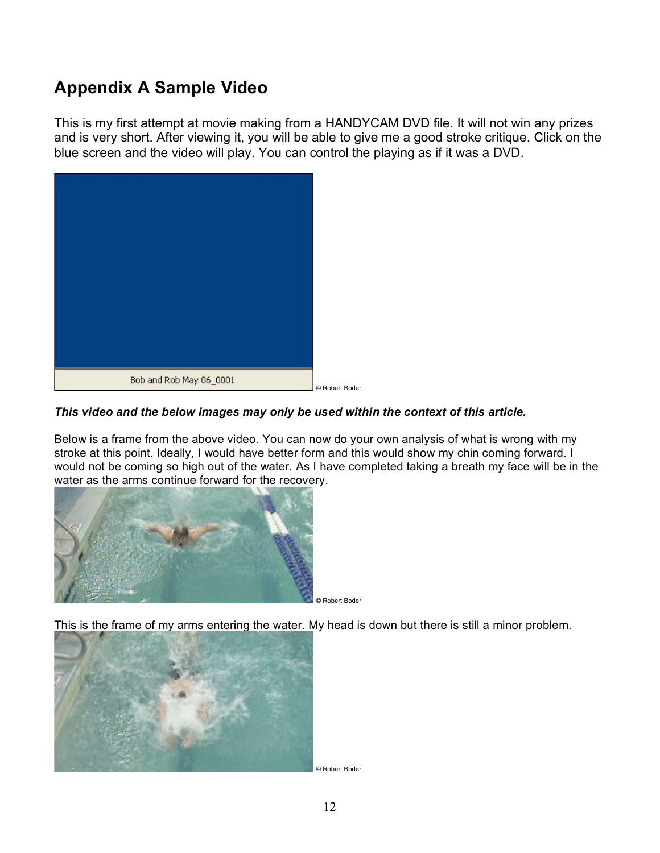# **Appendix A Sample Video**

This is my first attempt at movie making from a HANDYCAM DVD file. It will not win any prizes and is very short. After viewing it, you will be able to give me a good stroke critique. Click on the blue screen and the video will play. You can control the playing as if it was a DVD.



#### *This video and the below images may only be used within the context of this article.*

Below is a frame from the above video. You can now do your own analysis of what is wrong with my stroke at this point. Ideally, I would have better form and this would show my chin coming forward. I would not be coming so high out of the water. As I have completed taking a breath my face will be in the water as the arms continue forward for the recovery.



© Robert Boder

This is the frame of my arms entering the water. My head is down but there is still a minor problem.



© Robert Boder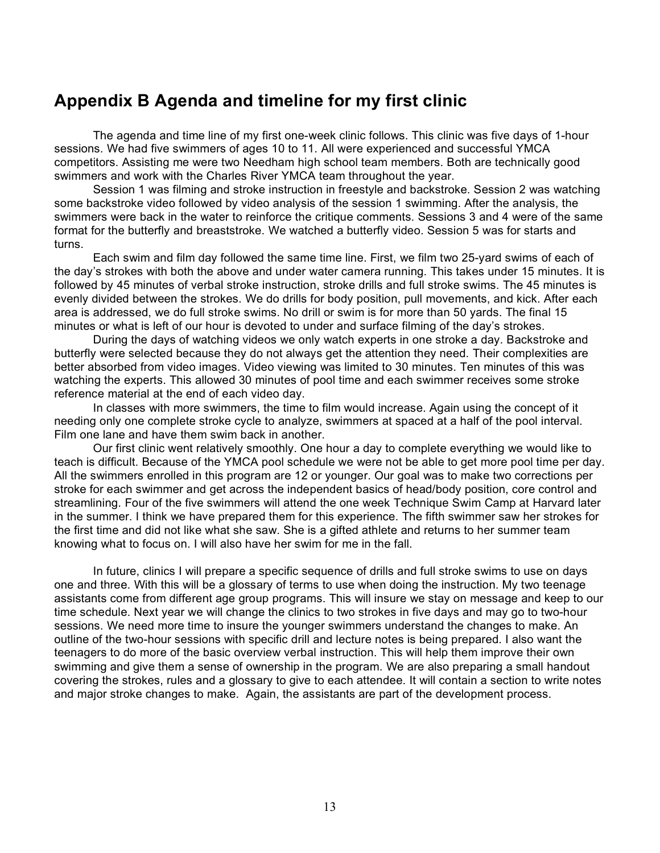## **Appendix B Agenda and timeline for my first clinic**

The agenda and time line of my first one-week clinic follows. This clinic was five days of 1-hour sessions. We had five swimmers of ages 10 to 11. All were experienced and successful YMCA competitors. Assisting me were two Needham high school team members. Both are technically good swimmers and work with the Charles River YMCA team throughout the year.

Session 1 was filming and stroke instruction in freestyle and backstroke. Session 2 was watching some backstroke video followed by video analysis of the session 1 swimming. After the analysis, the swimmers were back in the water to reinforce the critique comments. Sessions 3 and 4 were of the same format for the butterfly and breaststroke. We watched a butterfly video. Session 5 was for starts and turns.

Each swim and film day followed the same time line. First, we film two 25-yard swims of each of the day's strokes with both the above and under water camera running. This takes under 15 minutes. It is followed by 45 minutes of verbal stroke instruction, stroke drills and full stroke swims. The 45 minutes is evenly divided between the strokes. We do drills for body position, pull movements, and kick. After each area is addressed, we do full stroke swims. No drill or swim is for more than 50 yards. The final 15 minutes or what is left of our hour is devoted to under and surface filming of the day's strokes.

During the days of watching videos we only watch experts in one stroke a day. Backstroke and butterfly were selected because they do not always get the attention they need. Their complexities are better absorbed from video images. Video viewing was limited to 30 minutes. Ten minutes of this was watching the experts. This allowed 30 minutes of pool time and each swimmer receives some stroke reference material at the end of each video day.

In classes with more swimmers, the time to film would increase. Again using the concept of it needing only one complete stroke cycle to analyze, swimmers at spaced at a half of the pool interval. Film one lane and have them swim back in another.

Our first clinic went relatively smoothly. One hour a day to complete everything we would like to teach is difficult. Because of the YMCA pool schedule we were not be able to get more pool time per day. All the swimmers enrolled in this program are 12 or younger. Our goal was to make two corrections per stroke for each swimmer and get across the independent basics of head/body position, core control and streamlining. Four of the five swimmers will attend the one week Technique Swim Camp at Harvard later in the summer. I think we have prepared them for this experience. The fifth swimmer saw her strokes for the first time and did not like what she saw. She is a gifted athlete and returns to her summer team knowing what to focus on. I will also have her swim for me in the fall.

In future, clinics I will prepare a specific sequence of drills and full stroke swims to use on days one and three. With this will be a glossary of terms to use when doing the instruction. My two teenage assistants come from different age group programs. This will insure we stay on message and keep to our time schedule. Next year we will change the clinics to two strokes in five days and may go to two-hour sessions. We need more time to insure the younger swimmers understand the changes to make. An outline of the two-hour sessions with specific drill and lecture notes is being prepared. I also want the teenagers to do more of the basic overview verbal instruction. This will help them improve their own swimming and give them a sense of ownership in the program. We are also preparing a small handout covering the strokes, rules and a glossary to give to each attendee. It will contain a section to write notes and major stroke changes to make. Again, the assistants are part of the development process.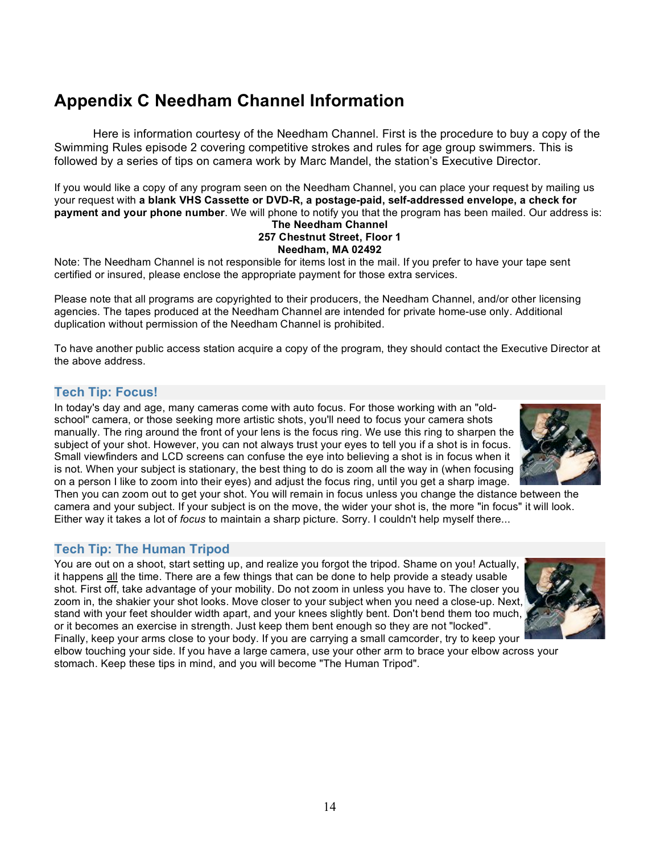# **Appendix C Needham Channel Information**

Here is information courtesy of the Needham Channel. First is the procedure to buy a copy of the Swimming Rules episode 2 covering competitive strokes and rules for age group swimmers. This is followed by a series of tips on camera work by Marc Mandel, the station's Executive Director.

If you would like a copy of any program seen on the Needham Channel, you can place your request by mailing us your request with **a blank VHS Cassette or DVD-R, a postage-paid, self-addressed envelope, a check for payment and your phone number**. We will phone to notify you that the program has been mailed. Our address is: **The Needham Channel**

#### **257 Chestnut Street, Floor 1 Needham, MA 02492**

Note: The Needham Channel is not responsible for items lost in the mail. If you prefer to have your tape sent certified or insured, please enclose the appropriate payment for those extra services.

Please note that all programs are copyrighted to their producers, the Needham Channel, and/or other licensing agencies. The tapes produced at the Needham Channel are intended for private home-use only. Additional duplication without permission of the Needham Channel is prohibited.

To have another public access station acquire a copy of the program, they should contact the Executive Director at the above address.

#### **Tech Tip: Focus!**

In today's day and age, many cameras come with auto focus. For those working with an "oldschool" camera, or those seeking more artistic shots, you'll need to focus your camera shots manually. The ring around the front of your lens is the focus ring. We use this ring to sharpen the subject of your shot. However, you can not always trust your eyes to tell you if a shot is in focus. Small viewfinders and LCD screens can confuse the eye into believing a shot is in focus when it is not. When your subject is stationary, the best thing to do is zoom all the way in (when focusing on a person I like to zoom into their eyes) and adjust the focus ring, until you get a sharp image.



Then you can zoom out to get your shot. You will remain in focus unless you change the distance between the camera and your subject. If your subject is on the move, the wider your shot is, the more "in focus" it will look. Either way it takes a lot of *focus* to maintain a sharp picture. Sorry. I couldn't help myself there...

#### **Tech Tip: The Human Tripod**

You are out on a shoot, start setting up, and realize you forgot the tripod. Shame on you! Actually, it happens all the time. There are a few things that can be done to help provide a steady usable shot. First off, take advantage of your mobility. Do not zoom in unless you have to. The closer you zoom in, the shakier your shot looks. Move closer to your subject when you need a close-up. Next, stand with your feet shoulder width apart, and your knees slightly bent. Don't bend them too much, or it becomes an exercise in strength. Just keep them bent enough so they are not "locked".



Finally, keep your arms close to your body. If you are carrying a small camcorder, try to keep your elbow touching your side. If you have a large camera, use your other arm to brace your elbow across your stomach. Keep these tips in mind, and you will become "The Human Tripod".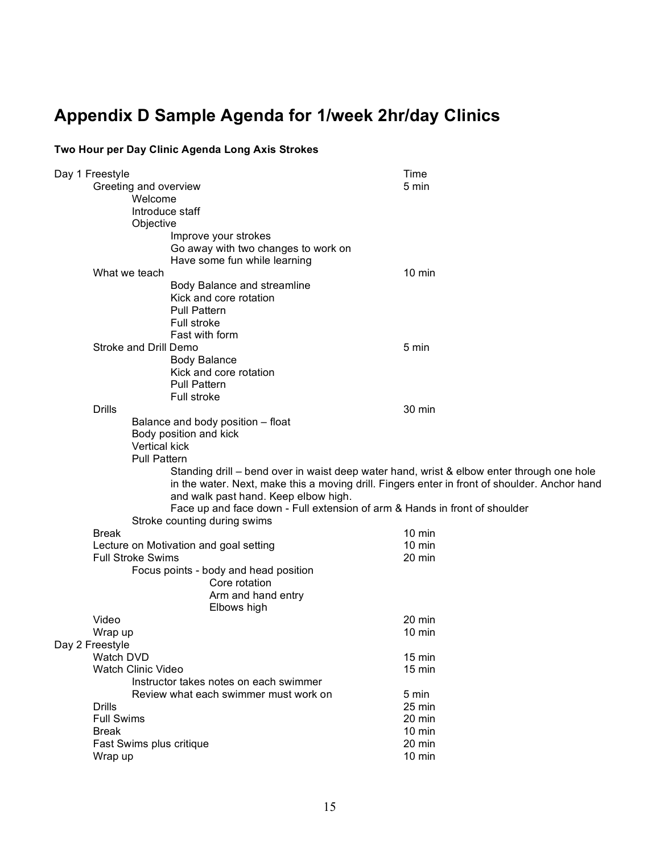# **Appendix D Sample Agenda for 1/week 2hr/day Clinics**

#### **Two Hour per Day Clinic Agenda Long Axis Strokes**

|  | Day 1 Freestyle                                                                                                                                                                            |                                                                            | Time             |  |
|--|--------------------------------------------------------------------------------------------------------------------------------------------------------------------------------------------|----------------------------------------------------------------------------|------------------|--|
|  | Greeting and overview                                                                                                                                                                      |                                                                            | 5 min            |  |
|  | Welcome                                                                                                                                                                                    |                                                                            |                  |  |
|  | Introduce staff                                                                                                                                                                            |                                                                            |                  |  |
|  | Objective                                                                                                                                                                                  |                                                                            |                  |  |
|  |                                                                                                                                                                                            | Improve your strokes                                                       |                  |  |
|  |                                                                                                                                                                                            | Go away with two changes to work on                                        |                  |  |
|  |                                                                                                                                                                                            | Have some fun while learning                                               |                  |  |
|  | What we teach                                                                                                                                                                              |                                                                            | $10 \text{ min}$ |  |
|  |                                                                                                                                                                                            | Body Balance and streamline                                                |                  |  |
|  |                                                                                                                                                                                            | Kick and core rotation                                                     |                  |  |
|  |                                                                                                                                                                                            | <b>Pull Pattern</b>                                                        |                  |  |
|  |                                                                                                                                                                                            | Full stroke                                                                |                  |  |
|  |                                                                                                                                                                                            | Fast with form                                                             |                  |  |
|  | Stroke and Drill Demo                                                                                                                                                                      |                                                                            | 5 min            |  |
|  |                                                                                                                                                                                            | <b>Body Balance</b>                                                        |                  |  |
|  |                                                                                                                                                                                            | Kick and core rotation<br><b>Pull Pattern</b>                              |                  |  |
|  |                                                                                                                                                                                            |                                                                            |                  |  |
|  | <b>Drills</b>                                                                                                                                                                              | Full stroke                                                                | 30 min           |  |
|  |                                                                                                                                                                                            | Balance and body position - float                                          |                  |  |
|  |                                                                                                                                                                                            | Body position and kick                                                     |                  |  |
|  | Vertical kick                                                                                                                                                                              |                                                                            |                  |  |
|  | Pull Pattern                                                                                                                                                                               |                                                                            |                  |  |
|  |                                                                                                                                                                                            |                                                                            |                  |  |
|  | Standing drill – bend over in waist deep water hand, wrist & elbow enter through one hole<br>in the water. Next, make this a moving drill. Fingers enter in front of shoulder. Anchor hand |                                                                            |                  |  |
|  |                                                                                                                                                                                            | and walk past hand. Keep elbow high.                                       |                  |  |
|  |                                                                                                                                                                                            | Face up and face down - Full extension of arm & Hands in front of shoulder |                  |  |
|  |                                                                                                                                                                                            | Stroke counting during swims                                               |                  |  |
|  | <b>Break</b>                                                                                                                                                                               |                                                                            | $10 \text{ min}$ |  |
|  |                                                                                                                                                                                            | Lecture on Motivation and goal setting                                     | 10 min           |  |
|  | <b>Full Stroke Swims</b>                                                                                                                                                                   |                                                                            | 20 min           |  |
|  |                                                                                                                                                                                            | Focus points - body and head position                                      |                  |  |
|  |                                                                                                                                                                                            | Core rotation                                                              |                  |  |
|  |                                                                                                                                                                                            | Arm and hand entry                                                         |                  |  |
|  |                                                                                                                                                                                            | Elbows high                                                                |                  |  |
|  | Video                                                                                                                                                                                      |                                                                            | 20 min           |  |
|  | Wrap up                                                                                                                                                                                    |                                                                            | $10 \text{ min}$ |  |
|  | Day 2 Freestyle                                                                                                                                                                            |                                                                            |                  |  |
|  | Watch DVD                                                                                                                                                                                  |                                                                            | 15 min           |  |
|  | Watch Clinic Video                                                                                                                                                                         |                                                                            | 15 min           |  |
|  |                                                                                                                                                                                            | Instructor takes notes on each swimmer                                     |                  |  |
|  |                                                                                                                                                                                            | Review what each swimmer must work on                                      | 5 min            |  |
|  | <b>Drills</b>                                                                                                                                                                              |                                                                            | 25 min           |  |
|  | <b>Full Swims</b>                                                                                                                                                                          |                                                                            | 20 min           |  |
|  | <b>Break</b>                                                                                                                                                                               |                                                                            | $10 \text{ min}$ |  |
|  | Fast Swims plus critique                                                                                                                                                                   |                                                                            | 20 min           |  |
|  | Wrap up                                                                                                                                                                                    |                                                                            | 10 min           |  |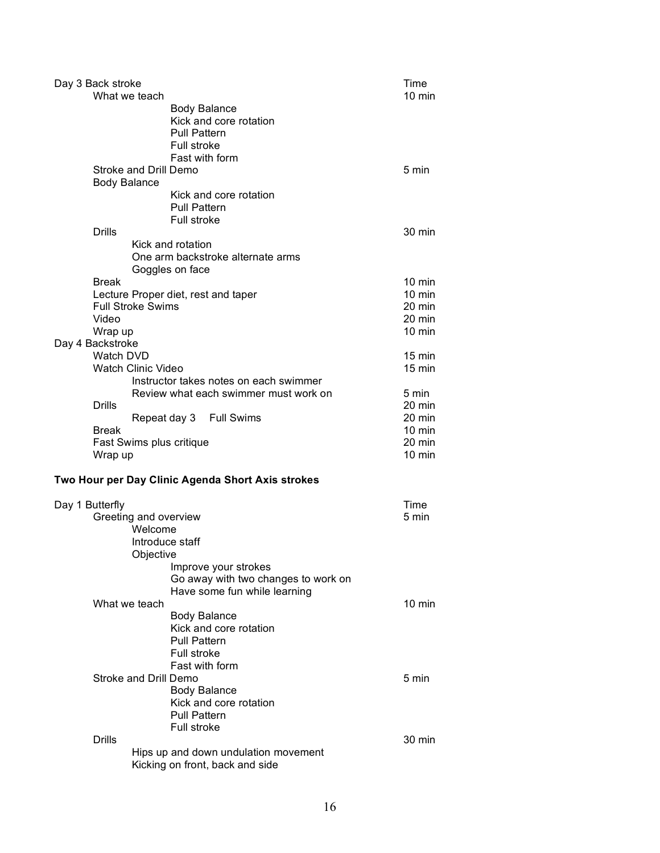|                     | Day 3 Back stroke     |                                                                                 | Time             |
|---------------------|-----------------------|---------------------------------------------------------------------------------|------------------|
|                     | What we teach         |                                                                                 | $10 \text{ min}$ |
|                     |                       | <b>Body Balance</b><br>Kick and core rotation                                   |                  |
|                     |                       | <b>Pull Pattern</b>                                                             |                  |
|                     |                       | <b>Full stroke</b>                                                              |                  |
|                     |                       | Fast with form                                                                  |                  |
|                     | <b>Body Balance</b>   | Stroke and Drill Demo                                                           | 5 min            |
|                     |                       | Kick and core rotation                                                          |                  |
|                     |                       | <b>Pull Pattern</b>                                                             |                  |
|                     |                       | Full stroke                                                                     |                  |
|                     | <b>Drills</b>         |                                                                                 | 30 min           |
|                     |                       | Kick and rotation                                                               |                  |
|                     |                       | One arm backstroke alternate arms                                               |                  |
|                     |                       | Goggles on face                                                                 |                  |
|                     | Break                 |                                                                                 | $10 \text{ min}$ |
|                     |                       | Lecture Proper diet, rest and taper                                             | 10 min           |
|                     |                       | <b>Full Stroke Swims</b>                                                        | 20 min           |
|                     | Video                 |                                                                                 | 20 min           |
|                     | Wrap up               |                                                                                 | $10 \text{ min}$ |
|                     | Day 4 Backstroke      |                                                                                 |                  |
|                     | Watch DVD             |                                                                                 | $15 \text{ min}$ |
|                     |                       | <b>Watch Clinic Video</b>                                                       | $15 \text{ min}$ |
|                     |                       | Instructor takes notes on each swimmer<br>Review what each swimmer must work on | 5 min            |
|                     | <b>Drills</b>         |                                                                                 | 20 min           |
|                     |                       | Repeat day 3 Full Swims                                                         | 20 min           |
|                     | Break                 |                                                                                 | $10 \text{ min}$ |
|                     |                       | Fast Swims plus critique                                                        | 20 min           |
|                     | Wrap up               |                                                                                 | $10 \text{ min}$ |
|                     |                       |                                                                                 |                  |
|                     |                       | Two Hour per Day Clinic Agenda Short Axis strokes                               |                  |
| Day 1 Butterfly     |                       |                                                                                 | Time             |
|                     |                       | Greeting and overview                                                           | 5 min            |
|                     |                       | Welcome                                                                         |                  |
|                     |                       | Introduce staff                                                                 |                  |
|                     |                       | Objective                                                                       |                  |
|                     |                       | Improve your strokes                                                            |                  |
|                     |                       | Go away with two changes to work on                                             |                  |
|                     |                       | Have some fun while learning                                                    |                  |
|                     | What we teach         |                                                                                 | $10 \text{ min}$ |
|                     |                       | <b>Body Balance</b>                                                             |                  |
|                     |                       | Kick and core rotation<br><b>Pull Pattern</b>                                   |                  |
|                     |                       | <b>Full stroke</b>                                                              |                  |
|                     |                       | Fast with form                                                                  |                  |
|                     | Stroke and Drill Demo |                                                                                 | 5 min            |
| <b>Body Balance</b> |                       |                                                                                 |                  |
|                     |                       | Kick and core rotation                                                          |                  |
|                     |                       | <b>Pull Pattern</b>                                                             |                  |
|                     |                       | <b>Full stroke</b>                                                              |                  |
|                     | <b>Drills</b>         |                                                                                 | 30 min           |
|                     |                       | Hips up and down undulation movement                                            |                  |
|                     |                       | Kicking on front, back and side                                                 |                  |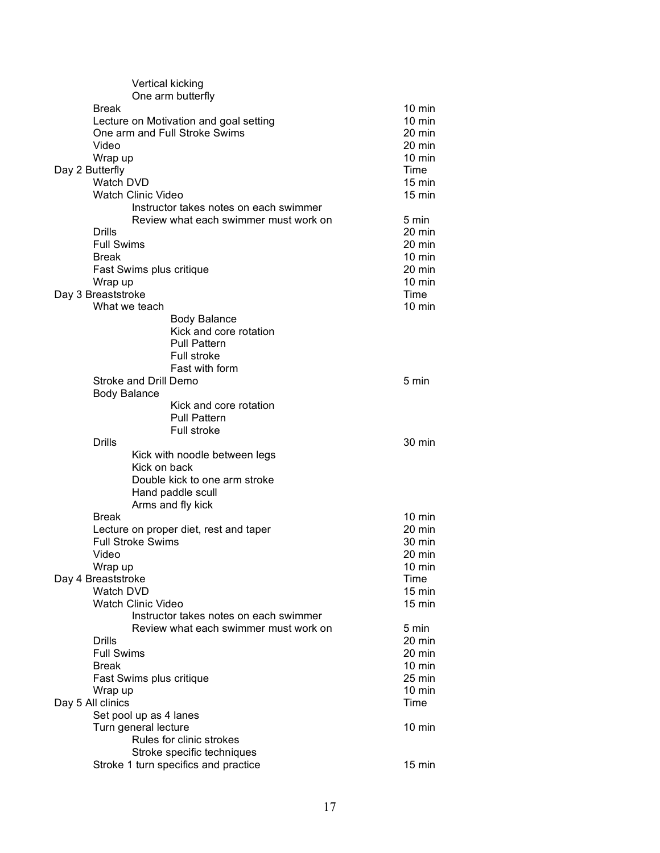| Vertical kicking                              |                  |
|-----------------------------------------------|------------------|
| One arm butterfly                             |                  |
| <b>Break</b>                                  | $10 \text{ min}$ |
| Lecture on Motivation and goal setting        | $10 \text{ min}$ |
| One arm and Full Stroke Swims                 | 20 min           |
| Video                                         | 20 min           |
| Wrap up                                       | $10 \text{ min}$ |
| Day 2 Butterfly                               | Time             |
| Watch DVD                                     | $15 \text{ min}$ |
| <b>Watch Clinic Video</b>                     | $15 \text{ min}$ |
| Instructor takes notes on each swimmer        |                  |
| Review what each swimmer must work on         | 5 min            |
| <b>Drills</b>                                 | 20 min           |
| <b>Full Swims</b>                             | 20 min           |
| <b>Break</b>                                  | $10$ min         |
| Fast Swims plus critique                      | 20 min           |
| Wrap up                                       | $10 \text{ min}$ |
| Day 3 Breaststroke                            | Time             |
| What we teach                                 | $10 \text{ min}$ |
| <b>Body Balance</b>                           |                  |
| Kick and core rotation                        |                  |
| <b>Pull Pattern</b>                           |                  |
| <b>Full stroke</b>                            |                  |
| Fast with form                                |                  |
| Stroke and Drill Demo                         | 5 min            |
| <b>Body Balance</b>                           |                  |
| Kick and core rotation                        |                  |
| <b>Pull Pattern</b>                           |                  |
| <b>Full stroke</b>                            |                  |
| <b>Drills</b>                                 | 30 min           |
| Kick with noodle between legs<br>Kick on back |                  |
| Double kick to one arm stroke                 |                  |
| Hand paddle scull                             |                  |
| Arms and fly kick                             |                  |
| <b>Break</b>                                  | $10 \text{ min}$ |
| Lecture on proper diet, rest and taper        | $20 \text{ min}$ |
| <b>Full Stroke Swims</b>                      | 30 min           |
| Video                                         | 20 min           |
| Wrap up                                       | 10 min           |
| Day 4 Breaststroke                            | Time             |
| Watch DVD                                     | $15 \text{ min}$ |
| <b>Watch Clinic Video</b>                     | $15 \text{ min}$ |
| Instructor takes notes on each swimmer        |                  |
| Review what each swimmer must work on         | 5 min            |
| <b>Drills</b>                                 | 20 min           |
| <b>Full Swims</b>                             | 20 min           |
| <b>Break</b>                                  | $10 \text{ min}$ |
| Fast Swims plus critique                      | 25 min           |
| Wrap up                                       | $10 \text{ min}$ |
| Day 5 All clinics                             | Time             |
| Set pool up as 4 lanes                        |                  |
| Turn general lecture                          | $10 \text{ min}$ |
| Rules for clinic strokes                      |                  |
| Stroke specific techniques                    |                  |
| Stroke 1 turn specifics and practice          | $15 \text{ min}$ |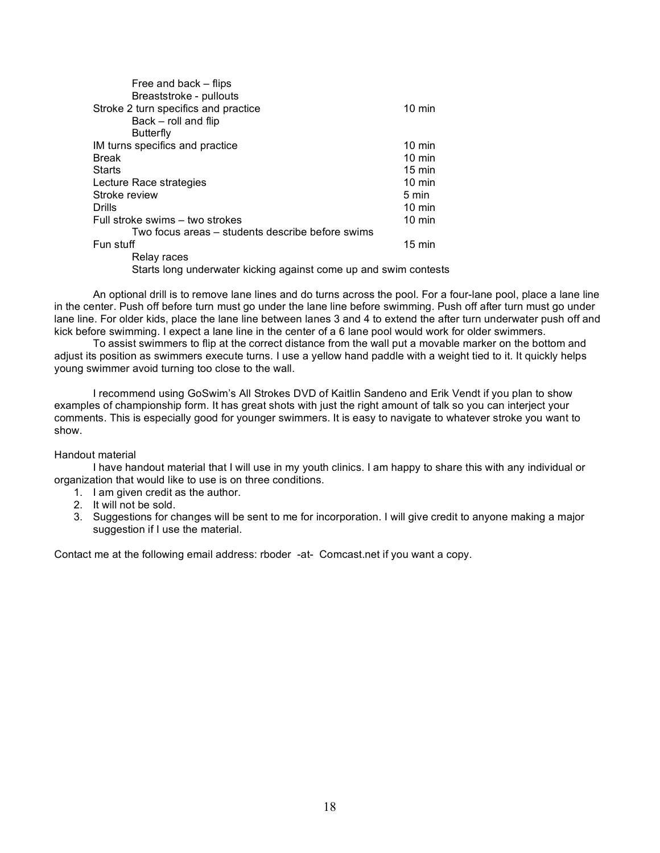| Free and back – flips                                            |                  |
|------------------------------------------------------------------|------------------|
| Breaststroke - pullouts                                          |                  |
| Stroke 2 turn specifics and practice                             | $10 \text{ min}$ |
| Back – roll and flip                                             |                  |
| <b>Butterfly</b>                                                 |                  |
| IM turns specifics and practice                                  | $10 \text{ min}$ |
| <b>Break</b>                                                     | $10 \text{ min}$ |
| <b>Starts</b>                                                    | $15 \text{ min}$ |
| Lecture Race strategies                                          | $10 \text{ min}$ |
| Stroke review                                                    | 5 min            |
| <b>Drills</b>                                                    | $10 \text{ min}$ |
| Full stroke swims – two strokes                                  | $10 \text{ min}$ |
| Two focus areas – students describe before swims                 |                  |
| Fun stuff                                                        | $15 \text{ min}$ |
| Relay races                                                      |                  |
| Starts long underwater kicking against come up and swim contests |                  |

An optional drill is to remove lane lines and do turns across the pool. For a four-lane pool, place a lane line in the center. Push off before turn must go under the lane line before swimming. Push off after turn must go under lane line. For older kids, place the lane line between lanes 3 and 4 to extend the after turn underwater push off and kick before swimming. I expect a lane line in the center of a 6 lane pool would work for older swimmers.

To assist swimmers to flip at the correct distance from the wall put a movable marker on the bottom and adjust its position as swimmers execute turns. I use a yellow hand paddle with a weight tied to it. It quickly helps young swimmer avoid turning too close to the wall.

I recommend using GoSwim's All Strokes DVD of Kaitlin Sandeno and Erik Vendt if you plan to show examples of championship form. It has great shots with just the right amount of talk so you can interject your comments. This is especially good for younger swimmers. It is easy to navigate to whatever stroke you want to show.

#### Handout material

I have handout material that I will use in my youth clinics. I am happy to share this with any individual or organization that would like to use is on three conditions.

- 1. I am given credit as the author.
- 2. It will not be sold.
- 3. Suggestions for changes will be sent to me for incorporation. I will give credit to anyone making a major suggestion if I use the material.

Contact me at the following email address: rboder -at- Comcast.net if you want a copy.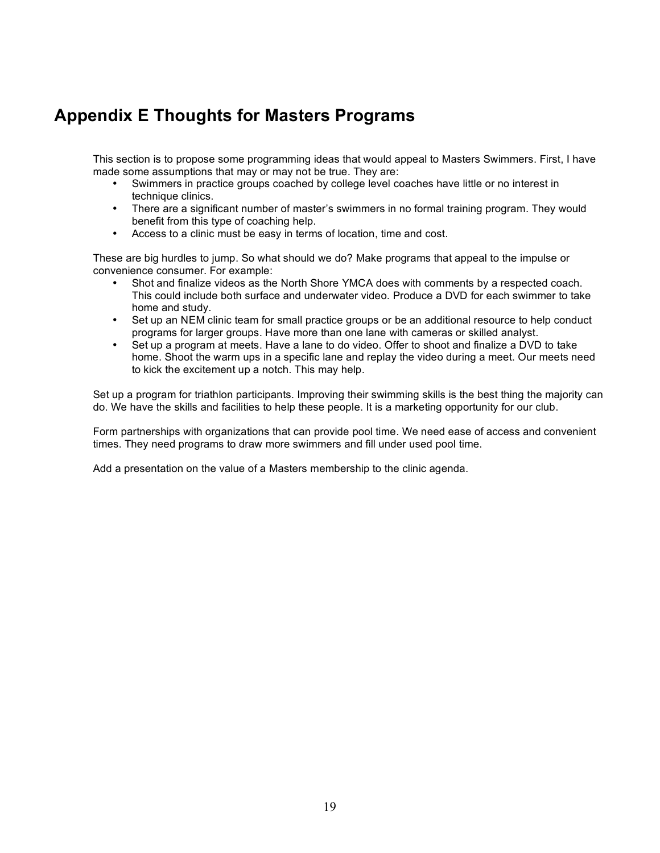## **Appendix E Thoughts for Masters Programs**

This section is to propose some programming ideas that would appeal to Masters Swimmers. First, I have made some assumptions that may or may not be true. They are:

- Swimmers in practice groups coached by college level coaches have little or no interest in technique clinics.
- There are a significant number of master's swimmers in no formal training program. They would benefit from this type of coaching help.
- Access to a clinic must be easy in terms of location, time and cost.

These are big hurdles to jump. So what should we do? Make programs that appeal to the impulse or convenience consumer. For example:

- Shot and finalize videos as the North Shore YMCA does with comments by a respected coach. This could include both surface and underwater video. Produce a DVD for each swimmer to take home and study.
- Set up an NEM clinic team for small practice groups or be an additional resource to help conduct programs for larger groups. Have more than one lane with cameras or skilled analyst.
- Set up a program at meets. Have a lane to do video. Offer to shoot and finalize a DVD to take home. Shoot the warm ups in a specific lane and replay the video during a meet. Our meets need to kick the excitement up a notch. This may help.

Set up a program for triathlon participants. Improving their swimming skills is the best thing the majority can do. We have the skills and facilities to help these people. It is a marketing opportunity for our club.

Form partnerships with organizations that can provide pool time. We need ease of access and convenient times. They need programs to draw more swimmers and fill under used pool time.

Add a presentation on the value of a Masters membership to the clinic agenda.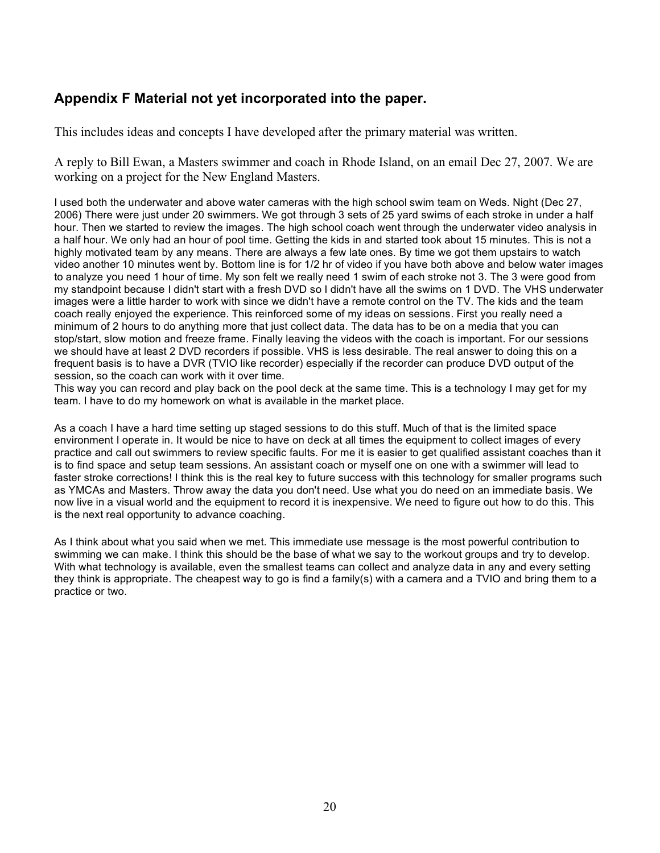### **Appendix F Material not yet incorporated into the paper.**

This includes ideas and concepts I have developed after the primary material was written.

A reply to Bill Ewan, a Masters swimmer and coach in Rhode Island, on an email Dec 27, 2007. We are working on a project for the New England Masters.

I used both the underwater and above water cameras with the high school swim team on Weds. Night (Dec 27, 2006) There were just under 20 swimmers. We got through 3 sets of 25 yard swims of each stroke in under a half hour. Then we started to review the images. The high school coach went through the underwater video analysis in a half hour. We only had an hour of pool time. Getting the kids in and started took about 15 minutes. This is not a highly motivated team by any means. There are always a few late ones. By time we got them upstairs to watch video another 10 minutes went by. Bottom line is for 1/2 hr of video if you have both above and below water images to analyze you need 1 hour of time. My son felt we really need 1 swim of each stroke not 3. The 3 were good from my standpoint because I didn't start with a fresh DVD so I didn't have all the swims on 1 DVD. The VHS underwater images were a little harder to work with since we didn't have a remote control on the TV. The kids and the team coach really enjoyed the experience. This reinforced some of my ideas on sessions. First you really need a minimum of 2 hours to do anything more that just collect data. The data has to be on a media that you can stop/start, slow motion and freeze frame. Finally leaving the videos with the coach is important. For our sessions we should have at least 2 DVD recorders if possible. VHS is less desirable. The real answer to doing this on a frequent basis is to have a DVR (TVIO like recorder) especially if the recorder can produce DVD output of the session, so the coach can work with it over time.

This way you can record and play back on the pool deck at the same time. This is a technology I may get for my team. I have to do my homework on what is available in the market place.

As a coach I have a hard time setting up staged sessions to do this stuff. Much of that is the limited space environment I operate in. It would be nice to have on deck at all times the equipment to collect images of every practice and call out swimmers to review specific faults. For me it is easier to get qualified assistant coaches than it is to find space and setup team sessions. An assistant coach or myself one on one with a swimmer will lead to faster stroke corrections! I think this is the real key to future success with this technology for smaller programs such as YMCAs and Masters. Throw away the data you don't need. Use what you do need on an immediate basis. We now live in a visual world and the equipment to record it is inexpensive. We need to figure out how to do this. This is the next real opportunity to advance coaching.

As I think about what you said when we met. This immediate use message is the most powerful contribution to swimming we can make. I think this should be the base of what we say to the workout groups and try to develop. With what technology is available, even the smallest teams can collect and analyze data in any and every setting they think is appropriate. The cheapest way to go is find a family(s) with a camera and a TVIO and bring them to a practice or two.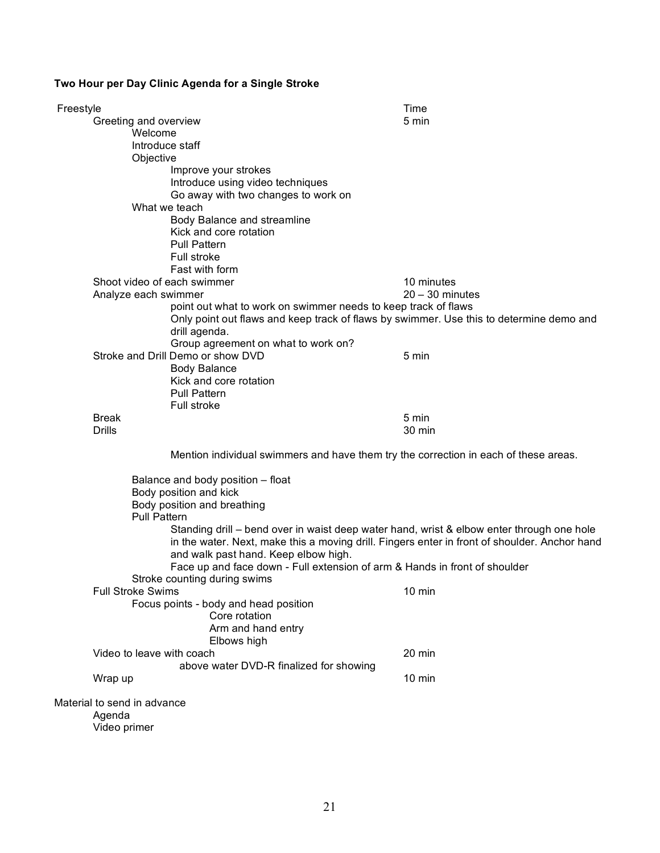### **Two Hour per Day Clinic Agenda for a Single Stroke**

| Freestyle                   |                                                                                               | Time              |  |  |
|-----------------------------|-----------------------------------------------------------------------------------------------|-------------------|--|--|
| Greeting and overview       |                                                                                               | 5 min             |  |  |
| Welcome                     |                                                                                               |                   |  |  |
|                             | Introduce staff                                                                               |                   |  |  |
| Objective                   |                                                                                               |                   |  |  |
|                             | Improve your strokes                                                                          |                   |  |  |
|                             | Introduce using video techniques                                                              |                   |  |  |
|                             | Go away with two changes to work on                                                           |                   |  |  |
|                             | What we teach                                                                                 |                   |  |  |
|                             | Body Balance and streamline                                                                   |                   |  |  |
|                             | Kick and core rotation                                                                        |                   |  |  |
|                             | <b>Pull Pattern</b>                                                                           |                   |  |  |
|                             | Full stroke                                                                                   |                   |  |  |
|                             | Fast with form                                                                                |                   |  |  |
|                             | Shoot video of each swimmer                                                                   | 10 minutes        |  |  |
| Analyze each swimmer        |                                                                                               | $20 - 30$ minutes |  |  |
|                             | point out what to work on swimmer needs to keep track of flaws                                |                   |  |  |
|                             | Only point out flaws and keep track of flaws by swimmer. Use this to determine demo and       |                   |  |  |
|                             | drill agenda.                                                                                 |                   |  |  |
|                             | Group agreement on what to work on?<br>Stroke and Drill Demo or show DVD                      | 5 min             |  |  |
|                             | <b>Body Balance</b>                                                                           |                   |  |  |
|                             | Kick and core rotation                                                                        |                   |  |  |
|                             | <b>Pull Pattern</b>                                                                           |                   |  |  |
|                             | Full stroke                                                                                   |                   |  |  |
| <b>Break</b>                |                                                                                               | 5 min             |  |  |
| <b>Drills</b>               |                                                                                               | 30 min            |  |  |
|                             |                                                                                               |                   |  |  |
|                             | Mention individual swimmers and have them try the correction in each of these areas.          |                   |  |  |
|                             | Balance and body position - float                                                             |                   |  |  |
|                             | Body position and kick                                                                        |                   |  |  |
|                             | Body position and breathing                                                                   |                   |  |  |
| <b>Pull Pattern</b>         |                                                                                               |                   |  |  |
|                             | Standing drill – bend over in waist deep water hand, wrist & elbow enter through one hole     |                   |  |  |
|                             | in the water. Next, make this a moving drill. Fingers enter in front of shoulder. Anchor hand |                   |  |  |
|                             | and walk past hand. Keep elbow high.                                                          |                   |  |  |
|                             | Face up and face down - Full extension of arm & Hands in front of shoulder                    |                   |  |  |
|                             | Stroke counting during swims                                                                  |                   |  |  |
| <b>Full Stroke Swims</b>    |                                                                                               | 10 min            |  |  |
|                             | Focus points - body and head position                                                         |                   |  |  |
|                             | Core rotation                                                                                 |                   |  |  |
|                             | Arm and hand entry                                                                            |                   |  |  |
| Video to leave with coach   | Elbows high                                                                                   | 20 min            |  |  |
|                             | above water DVD-R finalized for showing                                                       |                   |  |  |
|                             |                                                                                               | $10 \text{ min}$  |  |  |
| Wrap up                     |                                                                                               |                   |  |  |
| Material to send in advance |                                                                                               |                   |  |  |
| Agenda                      |                                                                                               |                   |  |  |
| Video primer                |                                                                                               |                   |  |  |
|                             |                                                                                               |                   |  |  |